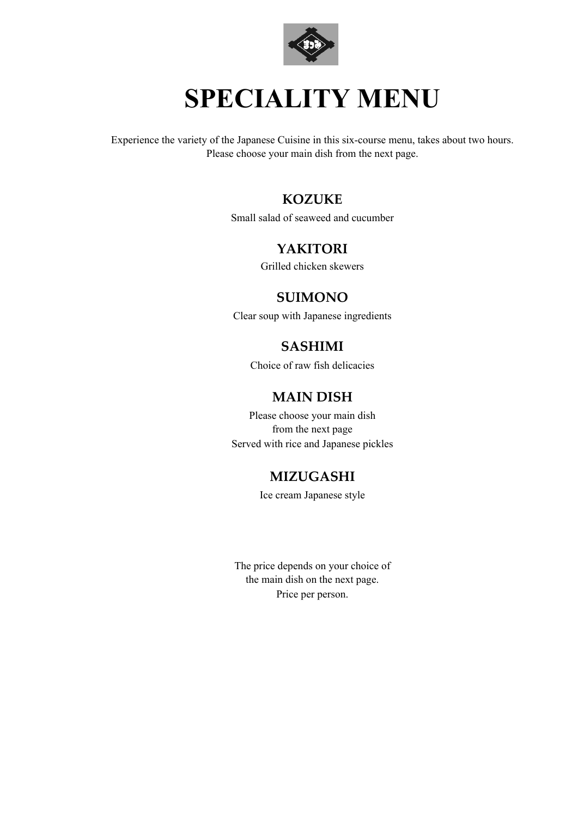

## **SPECIALITY MENU**

Experience the variety of the Japanese Cuisine in this six-course menu, takes about two hours. Please choose your main dish from the next page.

#### **KOZUKE**

Small salad of seaweed and cucumber

#### **YAKITORI**

Grilled chicken skewers

#### **SUIMONO**

Clear soup with Japanese ingredients

### **SASHIMI**

Choice of raw fish delicacies

#### **MAIN DISH**

Please choose your main dish from the next page Served with rice and Japanese pickles

#### **MIZUGASHI**

Ice cream Japanese style

The price depends on your choice of the main dish on the next page. Price per person.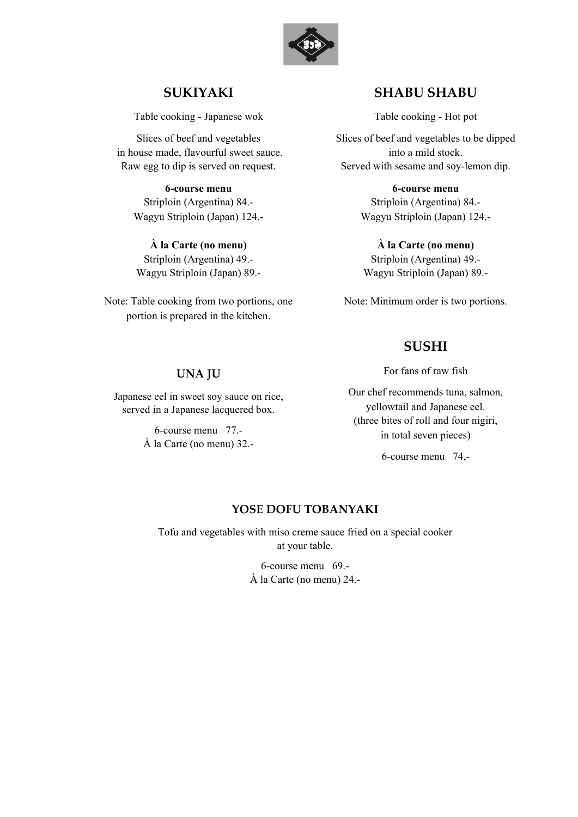

#### **SUKIYAKI**

Table cooking - Japanese wok

Slices of beef and vegetables in house made, flavourful sweet sauce. Raw egg to dip is served on request.

**6-course menu**  Striploin (Argentina) 84.- Wagyu Striploin (Japan) 124.-

**À la Carte (no menu)** Striploin (Argentina) 49.- Wagyu Striploin (Japan) 89.-

Note: Table cooking from two portions, one portion is prepared in the kitchen.

**UNA JU**

Japanese eel in sweet soy sauce on rice, served in a Japanese lacquered box.

> 6-course menu 77.- À la Carte (no menu) 32.-

#### **SHABU SHABU**

Table cooking - Hot pot

Slices of beef and vegetables to be dipped into a mild stock. Served with sesame and soy-lemon dip.

> **6-course menu**  Striploin (Argentina) 84.- Wagyu Striploin (Japan) 124.-

**À la Carte (no menu)** Striploin (Argentina) 49.- Wagyu Striploin (Japan) 89.-

Note: Minimum order is two portions.

#### **SUSHI**

For fans of raw fish

Our chef recommends tuna, salmon, yellowtail and Japanese eel. (three bites of roll and four nigiri, in total seven pieces)

6-course menu 74,-

#### **YOSE DOFU TOBANYAKI**

Tofu and vegetables with miso creme sauce fried on a special cooker at your table.

> 6-course menu 69.- À la Carte (no menu) 24.-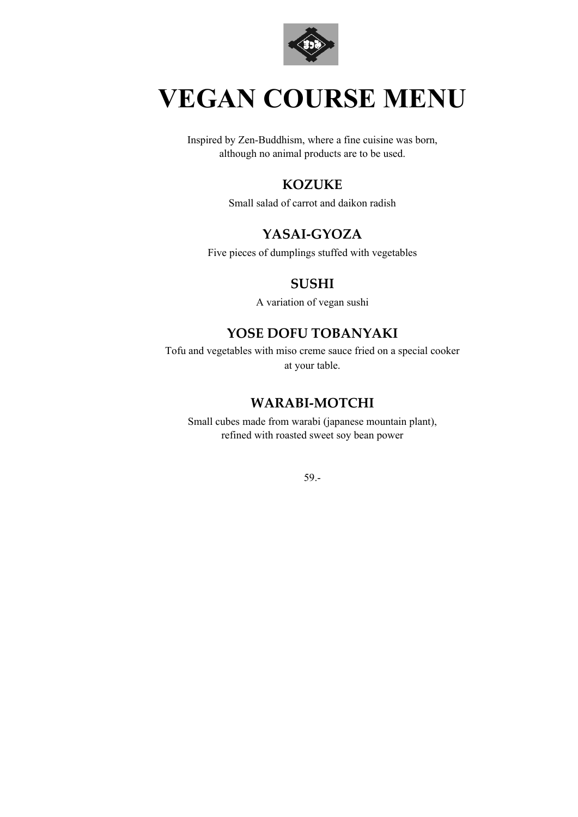

## **VEGAN COURSE MENU**

Inspired by Zen-Buddhism, where a fine cuisine was born, although no animal products are to be used.

#### **KOZUKE**

Small salad of carrot and daikon radish

#### **YASAI-GYOZA**

Five pieces of dumplings stuffed with vegetables

#### **SUSHI**

A variation of vegan sushi

#### **YOSE DOFU TOBANYAKI**

Tofu and vegetables with miso creme sauce fried on a special cooker at your table.

#### **WARABI-MOTCHI**

Small cubes made from warabi (japanese mountain plant), refined with roasted sweet soy bean power

59.-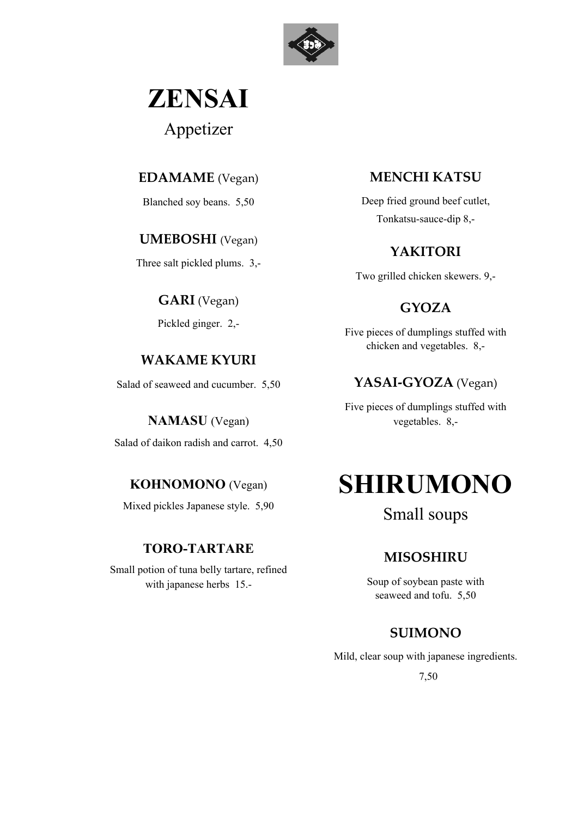

# **ZENSAI**

Appetizer

#### **EDAMAME** (Vegan)

Blanched soy beans. 5,50

#### **UMEBOSHI** (Vegan)

Three salt pickled plums. 3,-

**GARI** (Vegan)

Pickled ginger. 2,-

### **WAKAME KYURI**

Salad of seaweed and cucumber. 5,50

### **NAMASU** (Vegan) Salad of daikon radish and carrot. 4,50

### **KOHNOMONO** (Vegan)

Mixed pickles Japanese style. 5,90

### **TORO-TARTARE**

Small potion of tuna belly tartare, refined with japanese herbs 15.-

### **MENCHI KATSU**

Deep fried ground beef cutlet, Tonkatsu-sauce-dip 8,-

### **YAKITORI**

Two grilled chicken skewers. 9,-

### **GYOZA**

Five pieces of dumplings stuffed with chicken and vegetables. 8,-

## **YASAI-GYOZA** (Vegan)

Five pieces of dumplings stuffed with vegetables. 8,-

## **SHIRUMONO**

### Small soups

### **MISOSHIRU**

Soup of soybean paste with seaweed and tofu. 5,50

### **SUIMONO**

Mild, clear soup with japanese ingredients.

7,50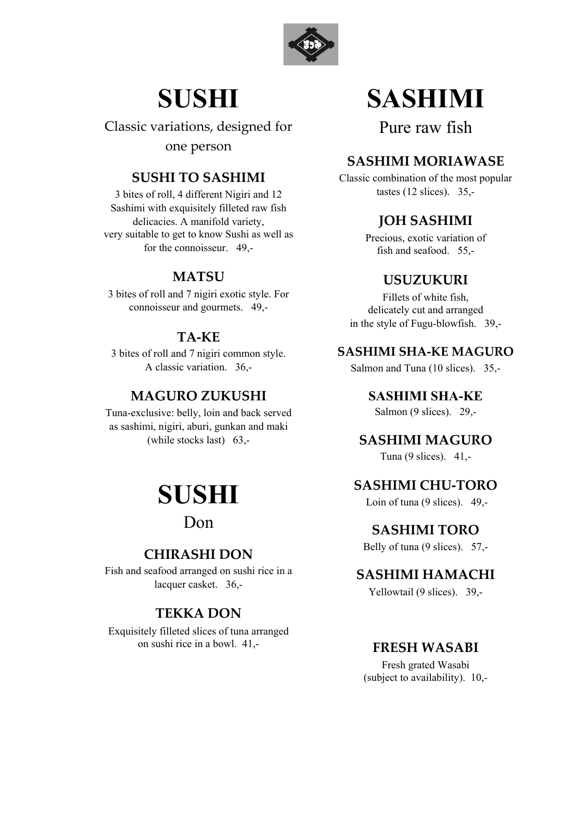

## **SUSHI**

Classic variations, designed for one person

#### **SUSHI TO SASHIMI**

3 bites of roll, 4 different Nigiri and 12 Sashimi with exquisitely filleted raw fish delicacies. A manifold variety, very suitable to get to know Sushi as well as for the connoisseur. 49,-

#### **MATSU**

3 bites of roll and 7 nigiri exotic style. For connoisseur and gourmets. 49,-

#### **TA-KE**

3 bites of roll and 7 nigiri common style. A classic variation. 36,-

#### **MAGURO ZUKUSHI**

Tuna-exclusive: belly, loin and back served as sashimi, nigiri, aburi, gunkan and maki (while stocks last) 63,-



Don

#### **CHIRASHI DON**

Fish and seafood arranged on sushi rice in a lacquer casket. 36,-

#### **TEKKA DON**

Exquisitely filleted slices of tuna arranged on sushi rice in a bowl. 41,-

## **SASHIMI**

Pure raw fish

#### **SASHIMI MORIAWASE**

Classic combination of the most popular tastes (12 slices). 35,-

### **JOH SASHIMI**

Precious, exotic variation of fish and seafood. 55,-

#### **USUZUKURI**

Fillets of white fish, delicately cut and arranged in the style of Fugu-blowfish. 39,-

#### **SASHIMI SHA-KE MAGURO**

Salmon and Tuna (10 slices). 35,-

**SASHIMI SHA-KE** Salmon (9 slices). 29,-

#### **SASHIMI MAGURO**

Tuna (9 slices). 41,-

#### **SASHIMI CHU-TORO**

Loin of tuna (9 slices). 49,-

#### **SASHIMI TORO**

Belly of tuna (9 slices). 57,-

#### **SASHIMI HAMACHI**

Yellowtail (9 slices). 39,-

#### **FRESH WASABI**

Fresh grated Wasabi (subject to availability). 10,-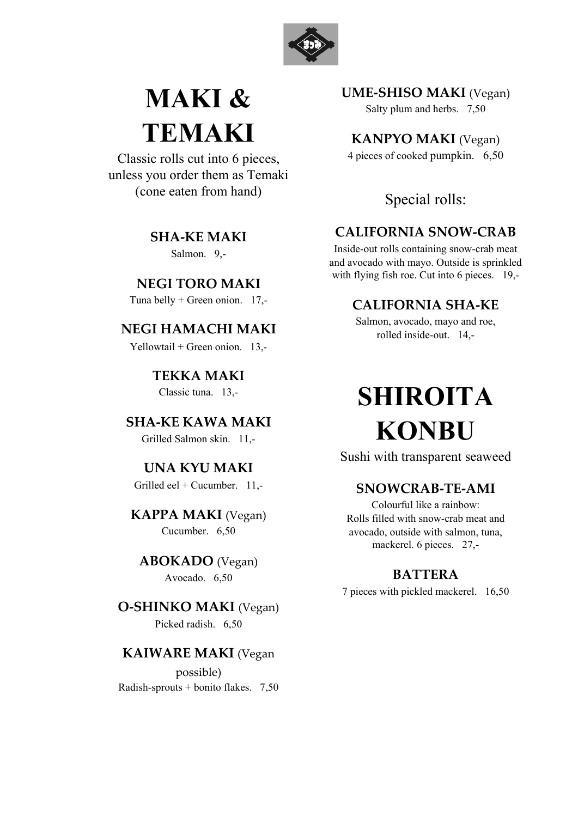

## **MAKI & TEMAKI**

Classic rolls cut into 6 pieces, unless you order them as Temaki (cone eaten from hand)

> **SHA-KE MAKI** Salmon. 9,-

**NEGI TORO MAKI** Tuna belly  $+$  Green onion. 17,-

### **NEGI HAMACHI MAKI**

Yellowtail + Green onion.  $13$ .

**TEKKA MAKI** Classic tuna. 13,-

**SHA-KE KAWA MAKI** Grilled Salmon skin. 11,-

**UNA KYU MAKI** Grilled eel + Cucumber.  $11$ .

**KAPPA MAKI** (Vegan) Cucumber. 6,50

**ABOKADO** (Vegan) Avocado. 6,50

**O-SHINKO MAKI** (Vegan) Picked radish. 6,50

#### **KAIWARE MAKI** (Vegan

possible) Radish-sprouts + bonito flakes. 7,50 **UME-SHISO MAKI** (Vegan)

Salty plum and herbs. 7,50

**KANPYO MAKI** (Vegan)

4 pieces of cooked pumpkin. 6,50

#### Special rolls:

#### **CALIFORNIA SNOW-CRAB**

Inside-out rolls containing snow-crab meat and avocado with mayo. Outside is sprinkled with flying fish roe. Cut into 6 pieces. 19,-

#### **CALIFORNIA SHA-KE**

Salmon, avocado, mayo and roe, rolled inside-out. 14,-

## **SHIROITA KONBU**

Sushi with transparent seaweed

#### **SNOWCRAB-TE-AMI**

Colourful like a rainbow: Rolls filled with snow-crab meat and avocado, outside with salmon, tuna, mackerel. 6 pieces. 27,-

#### **BATTERA**

7 pieces with pickled mackerel. 16,50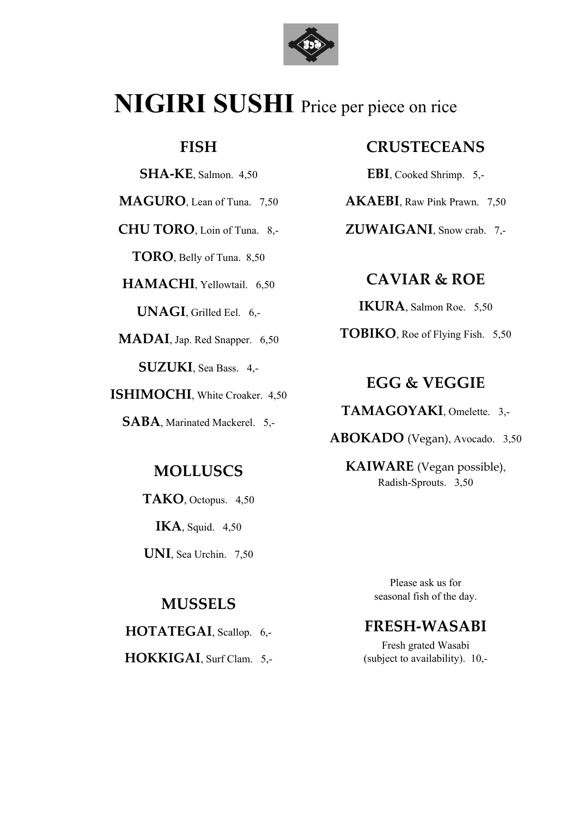

## **NIGIRI SUSHI** Price per piece on rice

#### **FISH**

**SHA-KE**, Salmon. 4,50

**MAGURO**, Lean of Tuna. 7,50

**CHU TORO**, Loin of Tuna. 8,-

**TORO**, Belly of Tuna. 8,50

**HAMACHI**, Yellowtail. 6,50

**UNAGI**, Grilled Eel. 6,-

**MADAI**, Jap. Red Snapper. 6,50

**SUZUKI**, Sea Bass. 4,-

**ISHIMOCHI**, White Croaker. 4,50

**SABA**, Marinated Mackerel. 5,-

### **MOLLUSCS**

**TAKO**, Octopus. 4,50 **IKA**, Squid. 4,50

**UNI**, Sea Urchin. 7,50

#### **MUSSELS**

**HOTATEGAI**, Scallop. 6,-

**HOKKIGAI**, Surf Clam. 5,-

#### **CRUSTECEANS**

**EBI**, Cooked Shrimp. 5,-

**AKAEBI**, Raw Pink Prawn. 7,50

**ZUWAIGANI**, Snow crab. 7,-

### **CAVIAR & ROE**

**IKURA**, Salmon Roe. 5,50

**TOBIKO**, Roe of Flying Fish. 5,50

#### **EGG & VEGGIE**

**TAMAGOYAKI**, Omelette. 3,-

**ABOKADO** (Vegan), Avocado. 3,50

**KAIWARE** (Vegan possible), Radish-Sprouts. 3,50

> Please ask us for seasonal fish of the day.

### **FRESH-WASABI**

Fresh grated Wasabi (subject to availability). 10,-